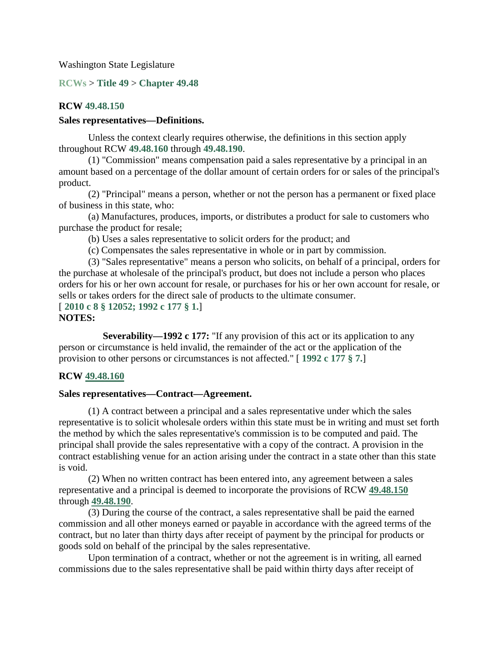Washington State Legislature

**RCWs** > **Title 49** > **Chapter 49.48**

### **RCW 49.48.150**

### **Sales representatives—Definitions.**

Unless the context clearly requires otherwise, the definitions in this section apply throughout RCW **49.48.160** through **49.48.190**.

(1) "Commission" means compensation paid a sales representative by a principal in an amount based on a percentage of the dollar amount of certain orders for or sales of the principal's product.

(2) "Principal" means a person, whether or not the person has a permanent or fixed place of business in this state, who:

(a) Manufactures, produces, imports, or distributes a product for sale to customers who purchase the product for resale;

(b) Uses a sales representative to solicit orders for the product; and

(c) Compensates the sales representative in whole or in part by commission.

(3) "Sales representative" means a person who solicits, on behalf of a principal, orders for the purchase at wholesale of the principal's product, but does not include a person who places orders for his or her own account for resale, or purchases for his or her own account for resale, or sells or takes orders for the direct sale of products to the ultimate consumer. [ **2010 c 8 § 12052; 1992 c 177 § 1.**]

### **NOTES:**

**Severability—1992 c 177:** "If any provision of this act or its application to any person or circumstance is held invalid, the remainder of the act or the application of the provision to other persons or circumstances is not affected." [ **1992 c 177 § 7.**]

### **RCW 49.48.160**

### **Sales representatives—Contract—Agreement.**

(1) A contract between a principal and a sales representative under which the sales representative is to solicit wholesale orders within this state must be in writing and must set forth the method by which the sales representative's commission is to be computed and paid. The principal shall provide the sales representative with a copy of the contract. A provision in the contract establishing venue for an action arising under the contract in a state other than this state is void.

(2) When no written contract has been entered into, any agreement between a sales representative and a principal is deemed to incorporate the provisions of RCW **49.48.150** through **49.48.190**.

(3) During the course of the contract, a sales representative shall be paid the earned commission and all other moneys earned or payable in accordance with the agreed terms of the contract, but no later than thirty days after receipt of payment by the principal for products or goods sold on behalf of the principal by the sales representative.

Upon termination of a contract, whether or not the agreement is in writing, all earned commissions due to the sales representative shall be paid within thirty days after receipt of